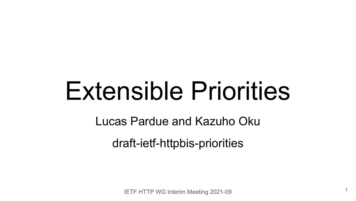# Extensible Priorities

Lucas Pardue and Kazuho Oku

draft-ietf-httpbis-priorities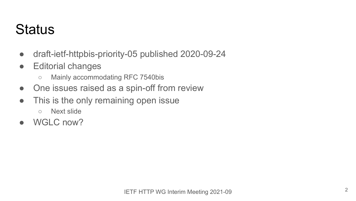### **Status**

- draft-ietf-httpbis-priority-05 published 2020-09-24
- Editorial changes
	- Mainly accommodating RFC 7540bis
- One issues raised as a spin-off from review
- This is the only remaining open issue
	- Next slide
- WGLC now?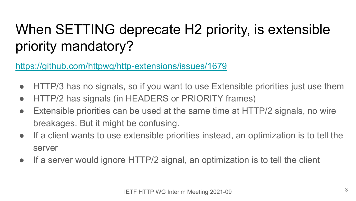## When SETTING deprecate H2 priority, is extensible priority mandatory?

<https://github.com/httpwg/http-extensions/issues/1679>

- HTTP/3 has no signals, so if you want to use Extensible priorities just use them
- HTTP/2 has signals (in HEADERS or PRIORITY frames)
- Extensible priorities can be used at the same time at HTTP/2 signals, no wire breakages. But it might be confusing.
- If a client wants to use extensible priorities instead, an optimization is to tell the server
- If a server would ignore HTTP/2 signal, an optimization is to tell the client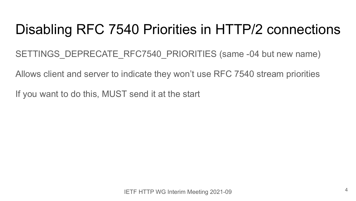#### Disabling RFC 7540 Priorities in HTTP/2 connections

SETTINGS DEPRECATE RFC7540 PRIORITIES (same -04 but new name)

Allows client and server to indicate they won't use RFC 7540 stream priorities

If you want to do this, MUST send it at the start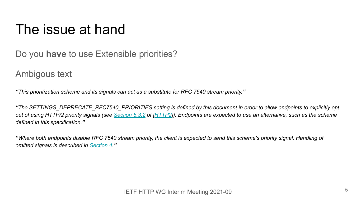#### The issue at hand

Do you **have** to use Extensible priorities?

Ambigous text

*"This prioritization scheme and its signals can act as a substitute for RFC 7540 stream priority."*

*"The SETTINGS\_DEPRECATE\_RFC7540\_PRIORITIES setting is defined by this document in order to allow endpoints to explicitly opt out of using HTTP/2 priority signals (see [Section 5.3.2](https://datatracker.ietf.org/doc/html/draft-ietf-httpbis-http2bis-04#section-5.3.2) of [\[HTTP2](https://www.ietf.org/archive/id/draft-ietf-httpbis-priority-05.html#HTTP2)]). Endpoints are expected to use an alternative, such as the scheme defined in this specification."*

*"Where both endpoints disable RFC 7540 stream priority, the client is expected to send this scheme's priority signal. Handling of omitted signals is described in [Section 4.](https://www.ietf.org/archive/id/draft-ietf-httpbis-priority-05.html#parameters)"*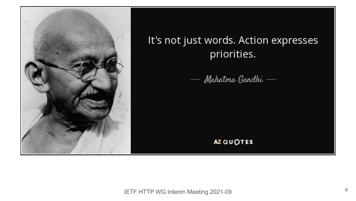

#### It's not just words. Action expresses priorities.

— Mahatma Gandhi —

#### **AZ QUOTES**

IETF HTTP WG Interim Meeting 2021-09 <sup>6</sup>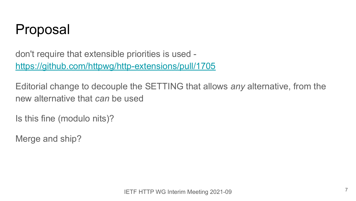

don't require that extensible priorities is used <https://github.com/httpwg/http-extensions/pull/1705>

Editorial change to decouple the SETTING that allows *any* alternative, from the new alternative that *can* be used

Is this fine (modulo nits)?

Merge and ship?